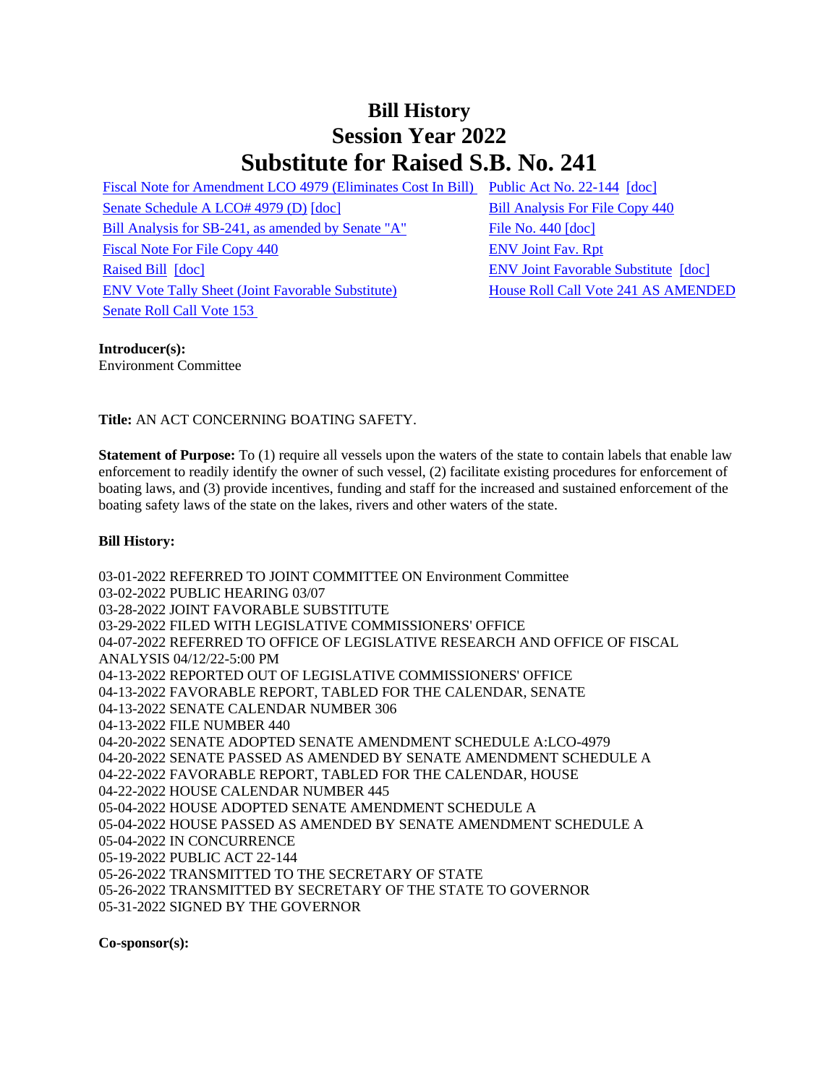## **Bill History Session Year 2022 Substitute for Raised S.B. No. 241**

[Fiscal Note for Amendment LCO 4979 \(Eliminates Cost In Bill\)](/2022/fna/pdf/2022SB-00241-R00LCO04979-FNA.pdf) [Public Act No. 22-144](/2022/ACT/PA/PDF/2022PA-00144-R00SB-00241-PA.PDF) [\[doc\]](https://search.cga.state.ct.us/dl2022/PA/DOC/2022PA-00144-R00SB-00241-PA.DOCX) [Senate Schedule A LCO# 4979 \(D\)](/2022/amd/S/pdf/2022SB-00241-R00SA-AMD.pdf) [\[doc\]](https://search.cga.state.ct.us/dl2022/AMd/DOC/2022SB-00241-R00SA-AMD.Docx) [Bill Analysis For File Copy 440](/2022/BA/PDF/2022SB-00241-R000440-BA.PDF) [Bill Analysis for SB-241, as amended by Senate "A"](/2022/BA/PDF/2022SB-00241-R01-BA.PDF) [File No. 440](/2022/FC/PDF/2022SB-00241-R000440-FC.PDF) [\[doc\]](https://search.cga.state.ct.us/dl2022/fc/doc/2022SB-00241-R000440-FC.docx) [Fiscal Note For File Copy 440](/2022/FN/PDF/2022SB-00241-R000440-FN.PDF) [ENV Joint Fav. Rpt](/2022/JFR/S/PDF/2022SB-00241-R00ENV-JFR.PDF) [Raised Bill](/2022/TOB/S/PDF/2022SB-00241-R00-SB.PDF) [\[doc\]](https://search.cga.state.ct.us/dl2022/TOB/DOC/2022SB-00241-R00-SB.DOCX) [ENV Joint Favorable Substitute](/2022/TOB/S/PDF/2022SB-00241-R01-SB.PDF) [\[doc\]](https://search.cga.state.ct.us/dl2022/TOB/DOC/2022SB-00241-R01-SB.DOCX) [ENV Vote Tally Sheet \(Joint Favorable Substitute\)](/2022/TS/S/PDF/2022SB-00241-R00ENV-CV60-TS.PDF) [House Roll Call Vote 241 AS AMENDED](/2022/VOTE/H/PDF/2022HV-00241-R00SB00241-HV.PDF)  [Senate Roll Call Vote 153](/2022/VOTE/S/PDF/2022SV-00153-R00SB00241-SV.PDF) 

## **Introducer(s):**

Environment Committee

**Title:** AN ACT CONCERNING BOATING SAFETY.

**Statement of Purpose:** To (1) require all vessels upon the waters of the state to contain labels that enable law enforcement to readily identify the owner of such vessel, (2) facilitate existing procedures for enforcement of boating laws, and (3) provide incentives, funding and staff for the increased and sustained enforcement of the boating safety laws of the state on the lakes, rivers and other waters of the state.

## **Bill History:**

03-01-2022 REFERRED TO JOINT COMMITTEE ON Environment Committee 03-02-2022 PUBLIC HEARING 03/07 03-28-2022 JOINT FAVORABLE SUBSTITUTE 03-29-2022 FILED WITH LEGISLATIVE COMMISSIONERS' OFFICE 04-07-2022 REFERRED TO OFFICE OF LEGISLATIVE RESEARCH AND OFFICE OF FISCAL ANALYSIS 04/12/22-5:00 PM 04-13-2022 REPORTED OUT OF LEGISLATIVE COMMISSIONERS' OFFICE 04-13-2022 FAVORABLE REPORT, TABLED FOR THE CALENDAR, SENATE 04-13-2022 SENATE CALENDAR NUMBER 306 04-13-2022 FILE NUMBER 440 04-20-2022 SENATE ADOPTED SENATE AMENDMENT SCHEDULE A:LCO-4979 04-20-2022 SENATE PASSED AS AMENDED BY SENATE AMENDMENT SCHEDULE A 04-22-2022 FAVORABLE REPORT, TABLED FOR THE CALENDAR, HOUSE 04-22-2022 HOUSE CALENDAR NUMBER 445 05-04-2022 HOUSE ADOPTED SENATE AMENDMENT SCHEDULE A 05-04-2022 HOUSE PASSED AS AMENDED BY SENATE AMENDMENT SCHEDULE A 05-04-2022 IN CONCURRENCE 05-19-2022 PUBLIC ACT 22-144 05-26-2022 TRANSMITTED TO THE SECRETARY OF STATE 05-26-2022 TRANSMITTED BY SECRETARY OF THE STATE TO GOVERNOR 05-31-2022 SIGNED BY THE GOVERNOR

**Co-sponsor(s):**